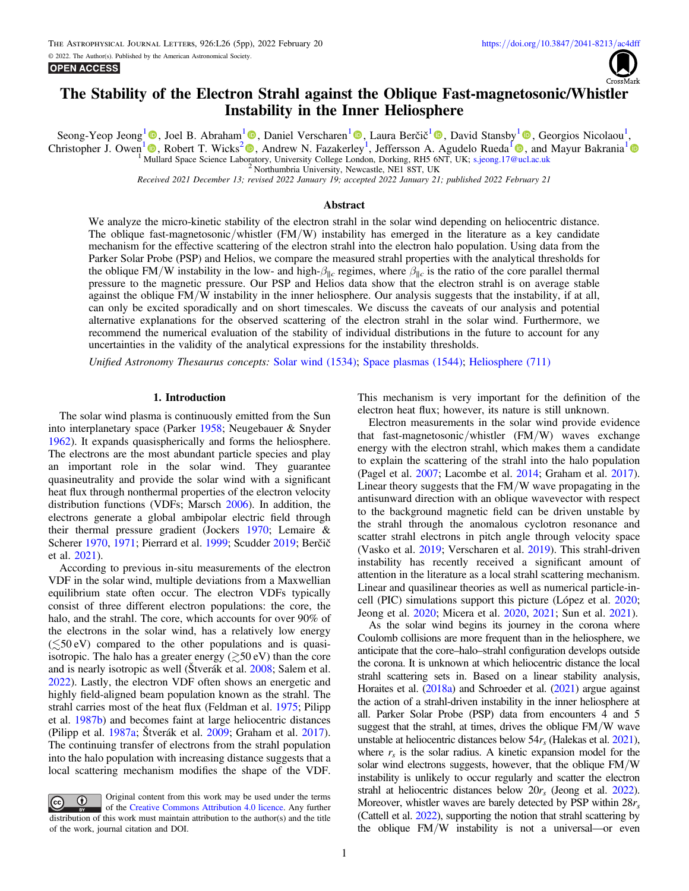# The Stability of the Electron Strahl against the Oblique Fast-magnetosonic/Whistler Instability in the Inner Heliosphere

Seong-Yeop Jeong<sup>[1](https://orcid.org/0000-0002-1365-1908)</sup> (D)[,](https://orcid.org/0000-0002-6075-1813) Joel B. Abraham<sup>1</sup> (D), Daniel Verscharen<sup>1</sup> (D), Laura Berčič<sup>1</sup> (D), David Stansby<sup>1</sup> (D), Georgios Nicolaou<sup>1</sup>, Christopher J. Owen<sup>[1](https://orcid.org/0000-0001-6225-9163)</sup> **.**, Robert T. Wicks<sup>[2](https://orcid.org/0000-0002-0622-5302)</sup> **.**[,](https://orcid.org/0000-0002-0622-5302) Andrew N. Fazakerley<sup>1</sup>, Jeffersson A. Agudelo Rueda<sup>1</sup> **.**, and Mayur Bakrania<sup>1</sup> <sup>1</sup> Mullard Space Science Laboratory, University College London, Dorking, RH5 6NT, UK; [s.jeong.17@ucl.ac.uk](mailto:s.jeong.17@ucl.ac.uk) <sup>2</sup> Northumbria University, Newcastle, NE1 8ST, UK

Received 2021 December 13; revised 2022 January 19; accepted 2022 January 21; published 2022 February 21

# Abstract

We analyze the micro-kinetic stability of the electron strahl in the solar wind depending on heliocentric distance. The oblique fast-magnetosonic/whistler (FM/W) instability has emerged in the literature as a key candidate mechanism for the effective scattering of the electron strahl into the electron halo population. Using data from the Parker Solar Probe (PSP) and Helios, we compare the measured strahl properties with the analytical thresholds for the oblique FM/W instability in the low- and high- $\beta_{\parallel c}$  regimes, where  $\beta_{\parallel c}$  is the ratio of the core parallel thermal pressure to the magnetic pressure. Our PSP and Helios data show that the electron strahl is on average stable against the oblique FM/W instability in the inner heliosphere. Our analysis suggests that the instability, if at all, can only be excited sporadically and on short timescales. We discuss the caveats of our analysis and potential alternative explanations for the observed scattering of the electron strahl in the solar wind. Furthermore, we recommend the numerical evaluation of the stability of individual distributions in the future to account for any uncertainties in the validity of the analytical expressions for the instability thresholds.

Unified Astronomy Thesaurus concepts: [Solar wind](http://astrothesaurus.org/uat/1534) (1534); [Space plasmas](http://astrothesaurus.org/uat/1544) (1544); [Heliosphere](http://astrothesaurus.org/uat/711) (711)

#### 1. Introduction

The solar wind plasma is continuously emitted from the Sun into interplanetary space (Parker [1958](#page-4-0); Neugebauer & Snyder [1962](#page-4-0)). It expands quasispherically and forms the heliosphere. The electrons are the most abundant particle species and play an important role in the solar wind. They guarantee quasineutrality and provide the solar wind with a significant heat flux through nonthermal properties of the electron velocity distribution functions (VDFs; Marsch [2006](#page-4-0)). In addition, the electrons generate a global ambipolar electric field through their thermal pressure gradient (Jockers [1970;](#page-4-0) Lemaire & Scherer [1970,](#page-4-0) [1971;](#page-4-0) Pierrard et al. [1999](#page-4-0); Scudder [2019;](#page-4-0) Berčič et al. [2021](#page-4-0)).

According to previous in-situ measurements of the electron VDF in the solar wind, multiple deviations from a Maxwellian equilibrium state often occur. The electron VDFs typically consist of three different electron populations: the core, the halo, and the strahl. The core, which accounts for over 90% of the electrons in the solar wind, has a relatively low energy  $(\leq 50 \text{ eV})$  compared to the other populations and is quasiisotropic. The halo has a greater energy  $(\geq 50 \text{ eV})$  than the core and is nearly isotropic as well (Štverák et al. [2008](#page-4-0); Salem et al. [2022](#page-4-0)). Lastly, the electron VDF often shows an energetic and highly field-aligned beam population known as the strahl. The strahl carries most of the heat flux (Feldman et al. [1975;](#page-4-0) Pilipp et al. [1987b](#page-4-0)) and becomes faint at large heliocentric distances (Pilipp et al. [1987a;](#page-4-0) Štverák et al. [2009;](#page-4-0) Graham et al. [2017](#page-4-0)). The continuing transfer of electrons from the strahl population into the halo population with increasing distance suggests that a local scattering mechanism modifies the shape of the VDF.

Original content from this work may be used under the terms  $\bf{r}$  $\left(\mathrm{cc}\right)$ of the [Creative Commons Attribution 4.0 licence.](http://creativecommons.org/licenses/by/4.0/) Any further distribution of this work must maintain attribution to the author(s) and the title of the work, journal citation and DOI.

This mechanism is very important for the definition of the electron heat flux; however, its nature is still unknown.

Electron measurements in the solar wind provide evidence that fast-magnetosonic/whistler (FM/W) waves exchange energy with the electron strahl, which makes them a candidate to explain the scattering of the strahl into the halo population (Pagel et al. [2007;](#page-4-0) Lacombe et al. [2014;](#page-4-0) Graham et al. [2017](#page-4-0)). Linear theory suggests that the FM/W wave propagating in the antisunward direction with an oblique wavevector with respect to the background magnetic field can be driven unstable by the strahl through the anomalous cyclotron resonance and scatter strahl electrons in pitch angle through velocity space (Vasko et al. [2019](#page-4-0); Verscharen et al. [2019](#page-4-0)). This strahl-driven instability has recently received a significant amount of attention in the literature as a local strahl scattering mechanism. Linear and quasilinear theories as well as numerical particle-incell (PIC) simulations support this picture (López et al. [2020](#page-4-0); Jeong et al. [2020;](#page-4-0) Micera et al. [2020,](#page-4-0) [2021;](#page-4-0) Sun et al. [2021](#page-4-0)).

As the solar wind begins its journey in the corona where Coulomb collisions are more frequent than in the heliosphere, we anticipate that the core–halo–strahl configuration develops outside the corona. It is unknown at which heliocentric distance the local strahl scattering sets in. Based on a linear stability analysis, Horaites et al. ([2018a](#page-4-0)) and Schroeder et al. ([2021](#page-4-0)) argue against the action of a strahl-driven instability in the inner heliosphere at all. Parker Solar Probe (PSP) data from encounters 4 and 5 suggest that the strahl, at times, drives the oblique FM/W wave unstable at heliocentric distances below  $54r_s$  (Halekas et al. [2021](#page-4-0)), where  $r<sub>s</sub>$  is the solar radius. A kinetic expansion model for the solar wind electrons suggests, however, that the oblique FM/W instability is unlikely to occur regularly and scatter the electron strahl at heliocentric distances below  $20r_s$  (Jeong et al. [2022](#page-4-0)). Moreover, whistler waves are barely detected by PSP within  $28r_s$ (Cattell et al. [2022](#page-4-0)), supporting the notion that strahl scattering by the oblique FM/W instability is not a universal—or even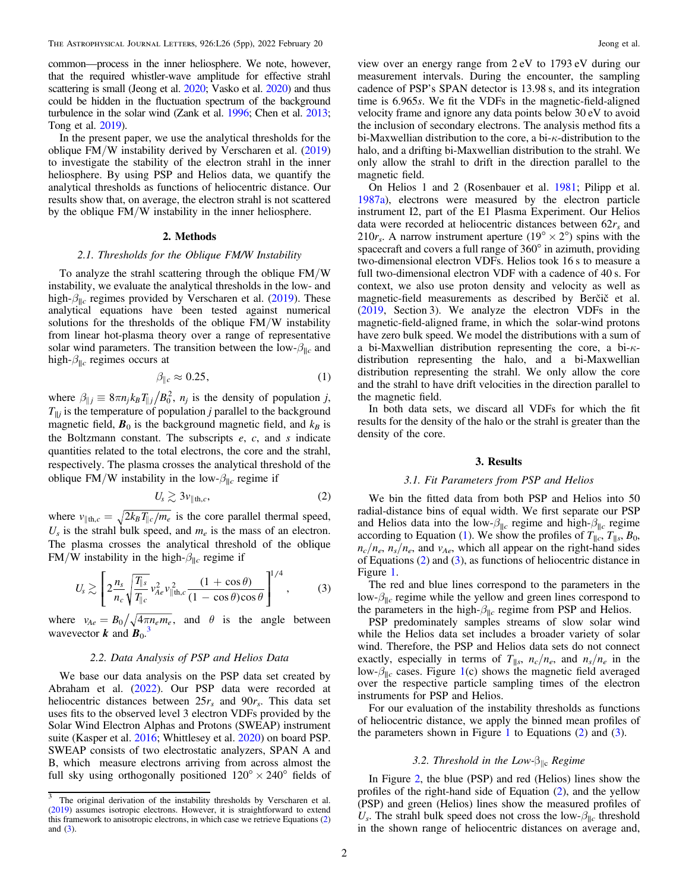<span id="page-1-0"></span>common—process in the inner heliosphere. We note, however, that the required whistler-wave amplitude for effective strahl scattering is small (Jeong et al. [2020;](#page-4-0) Vasko et al. [2020](#page-4-0)) and thus could be hidden in the fluctuation spectrum of the background turbulence in the solar wind (Zank et al. [1996](#page-4-0); Chen et al. [2013](#page-4-0); Tong et al. [2019](#page-4-0)).

In the present paper, we use the analytical thresholds for the oblique FM/W instability derived by Verscharen et al. ([2019](#page-4-0)) to investigate the stability of the electron strahl in the inner heliosphere. By using PSP and Helios data, we quantify the analytical thresholds as functions of heliocentric distance. Our results show that, on average, the electron strahl is not scattered by the oblique FM/W instability in the inner heliosphere.

# 2. Methods

# 2.1. Thresholds for the Oblique FM/W Instability

To analyze the strahl scattering through the oblique FM/W instability, we evaluate the analytical thresholds in the low- and high- $\beta_{\parallel c}$  regimes provided by Verscharen et al. ([2019](#page-4-0)). These analytical equations have been tested against numerical solutions for the thresholds of the oblique FM/W instability from linear hot-plasma theory over a range of representative solar wind parameters. The transition between the low- $\beta_{\parallel c}$  and high- $\beta_{\parallel c}$  regimes occurs at

$$
\beta_{\parallel c} \approx 0.25,\tag{1}
$$

where  $\beta_{\parallel j} \equiv 8\pi n_j k_B T_{\parallel j} / B_0^2$ ,  $n_j$  is the density of population j,  $T_{\parallel j}$  is the temperature of population *j* parallel to the background magnetic field,  $\mathbf{B}_0$  is the background magnetic field, and  $k_B$  is the Boltzmann constant. The subscripts  $e$ ,  $c$ , and  $s$  indicate quantities related to the total electrons, the core and the strahl, respectively. The plasma crosses the analytical threshold of the oblique FM/W instability in the low- $\beta_{\parallel c}$  regime if

$$
U_s \gtrsim 3\nu_{\parallel \text{th},c},\tag{2}
$$

where  $v_{\parallel \text{th},c} = \sqrt{2k_B T_{\parallel c}/m_e}$  is the core parallel thermal speed,  $U_s$  is the strahl bulk speed, and  $m_e$  is the mass of an electron. The plasma crosses the analytical threshold of the oblique FM/W instability in the high- $\beta_{\parallel c}$  regime if

$$
U_s \gtrsim \left[2\frac{n_s}{n_c}\sqrt{\frac{T_{\parallel s}}{T_{\parallel c}}}v_{Ae}^2v_{\parallel \text{th},c}^2\frac{(1+\cos\theta)}{(1-\cos\theta)\cos\theta}\right]^{1/4},\qquad(3)
$$

where  $v_{Ae} = B_0 / \sqrt{4 \pi n_e m_e}$ , and  $\theta$  is the angle between wavevector **k** and  $\mathbf{B}_0$ .<sup>3</sup>

## 2.2. Data Analysis of PSP and Helios Data

We base our data analysis on the PSP data set created by Abraham et al. ([2022](#page-4-0)). Our PSP data were recorded at heliocentric distances between  $25r_s$  and  $90r_s$ . This data set uses fits to the observed level 3 electron VDFs provided by the Solar Wind Electron Alphas and Protons (SWEAP) instrument suite (Kasper et al. [2016](#page-4-0); Whittlesey et al. [2020](#page-4-0)) on board PSP. SWEAP consists of two electrostatic analyzers, SPAN A and B, which measure electrons arriving from across almost the full sky using orthogonally positioned  $120^{\circ} \times 240^{\circ}$  fields of view over an energy range from 2 eV to 1793 eV during our measurement intervals. During the encounter, the sampling cadence of PSP's SPAN detector is 13.98 s, and its integration time is 6.965s. We fit the VDFs in the magnetic-field-aligned velocity frame and ignore any data points below 30 eV to avoid the inclusion of secondary electrons. The analysis method fits a bi-Maxwellian distribution to the core, a bi-κ-distribution to the halo, and a drifting bi-Maxwellian distribution to the strahl. We only allow the strahl to drift in the direction parallel to the magnetic field.

On Helios 1 and 2 (Rosenbauer et al. [1981;](#page-4-0) Pilipp et al. [1987a](#page-4-0)), electrons were measured by the electron particle instrument I2, part of the E1 Plasma Experiment. Our Helios data were recorded at heliocentric distances between  $62r<sub>s</sub>$  and 210 $r_s$ . A narrow instrument aperture (19° × 2°) spins with the spacecraft and covers a full range of 360° in azimuth, providing two-dimensional electron VDFs. Helios took 16 s to measure a full two-dimensional electron VDF with a cadence of 40 s. For context, we also use proton density and velocity as well as magnetic-field measurements as described by Berčič et al. ([2019](#page-4-0), Section 3). We analyze the electron VDFs in the magnetic-field-aligned frame, in which the solar-wind protons have zero bulk speed. We model the distributions with a sum of a bi-Maxwellian distribution representing the core, a bi-κdistribution representing the halo, and a bi-Maxwellian distribution representing the strahl. We only allow the core and the strahl to have drift velocities in the direction parallel to the magnetic field.

In both data sets, we discard all VDFs for which the fit results for the density of the halo or the strahl is greater than the density of the core.

#### 3. Results

#### 3.1. Fit Parameters from PSP and Helios

We bin the fitted data from both PSP and Helios into 50 radial-distance bins of equal width. We first separate our PSP and Helios data into the low- $\beta_{\parallel c}$  regime and high- $\beta_{\parallel c}$  regime according to Equation (1). We show the profiles of  $T_{\parallel c}$ ,  $T_{\parallel s}$ ,  $B_0$ ,  $n_c/n_e$ ,  $n_s/n_e$ , and  $v_{Ae}$ , which all appear on the right-hand sides of Equations (2) and (3), as functions of heliocentric distance in Figure [1.](#page-2-0)

The red and blue lines correspond to the parameters in the low- $\beta_{\parallel c}$  regime while the yellow and green lines correspond to the parameters in the high- $\beta_{\parallel c}$  regime from PSP and Helios.

PSP predominately samples streams of slow solar wind while the Helios data set includes a broader variety of solar wind. Therefore, the PSP and Helios data sets do not connect exactly, especially in terms of  $T_{\parallel s}$ ,  $n_c/n_e$ , and  $n_s/n_e$  in the low- $\beta_{\parallel c}$  cases. Figure [1](#page-2-0)(c) shows the magnetic field averaged over the respective particle sampling times of the electron instruments for PSP and Helios.

For our evaluation of the instability thresholds as functions of heliocentric distance, we apply the binned mean profiles of the parameters shown in Figure [1](#page-2-0) to Equations  $(2)$  and  $(3)$ .

# 3.2. Threshold in the Low- $\beta_{\parallel c}$  Regime

In Figure [2,](#page-2-0) the blue (PSP) and red (Helios) lines show the profiles of the right-hand side of Equation (2), and the yellow (PSP) and green (Helios) lines show the measured profiles of  $U_s$ . The strahl bulk speed does not cross the low- $\beta_{\parallel c}$  threshold in the shown range of heliocentric distances on average and,

 $\frac{3}{3}$  The original derivation of the instability thresholds by Verscharen et al. ([2019](#page-4-0)) assumes isotropic electrons. However, it is straightforward to extend this framework to anisotropic electrons, in which case we retrieve Equations (2) and  $(3)$ .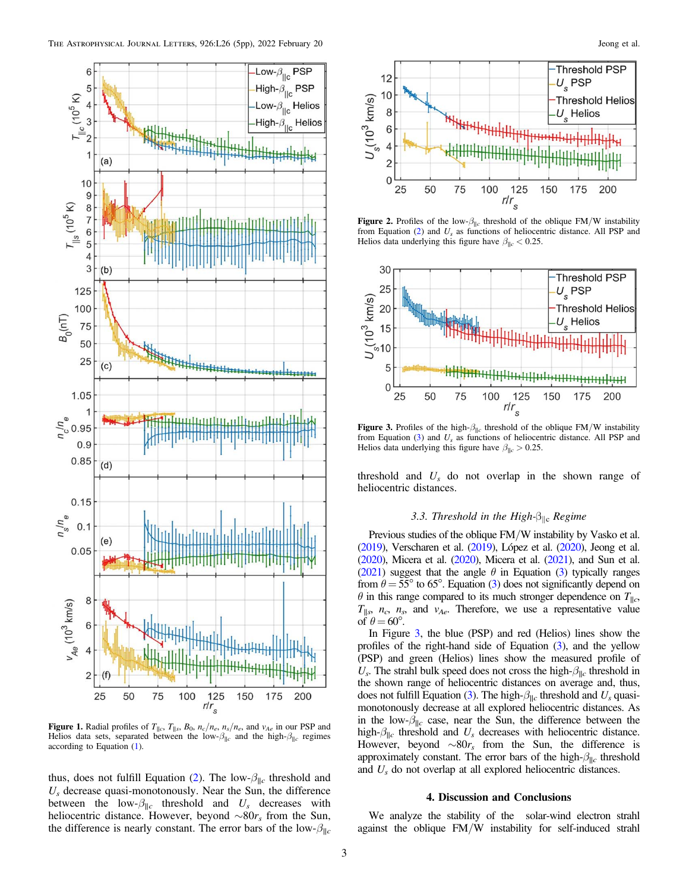<span id="page-2-0"></span>

**Figure 1.** Radial profiles of  $T_{\parallel c}$ ,  $T_{\parallel s}$ ,  $B_0$ ,  $n_c/n_e$ ,  $n_s/n_e$ , and  $v_{Ae}$  in our PSP and Helios data sets, separated between the low- $\beta_{\parallel c}$  and the high- $\beta_{\parallel c}$  regimes according to Equation ([1](#page-1-0)).

thus, does not fulfill Equation ([2](#page-1-0)). The low- $\beta_{\parallel c}$  threshold and  $U_s$  decrease quasi-monotonously. Near the Sun, the difference between the low- $\beta_{\parallel c}$  threshold and  $U_s$  decreases with heliocentric distance. However, beyond  $\sim 80r_s$  from the Sun, the difference is nearly constant. The error bars of the low- $\beta_{\parallel c}$ 



Figure 2. Profiles of the low- $\beta_{\parallel c}$  threshold of the oblique FM/W instability from Equation ([2](#page-1-0)) and  $U_s$  as functions of heliocentric distance. All PSP and Helios data underlying this figure have  $\beta_{\parallel c} < 0.25$ .



Figure 3. Profiles of the high- $\beta_{\parallel c}$  threshold of the oblique FM/W instability from Equation ([3](#page-1-0)) and  $U_s$  as functions of heliocentric distance. All PSP and Helios data underlying this figure have  $\beta_{\parallel c} > 0.25$ .

threshold and  $U_s$  do not overlap in the shown range of heliocentric distances.

# 3.3. Threshold in the High- $\beta_{\parallel c}$  Regime

Previous studies of the oblique FM/W instability by Vasko et al. ([2019](#page-4-0)), Verscharen et al. ([2019](#page-4-0)), López et al. ([2020](#page-4-0)), Jeong et al.  $(2020)$  $(2020)$  $(2020)$ , Micera et al.  $(2020)$ , Micera et al.  $(2021)$  $(2021)$  $(2021)$ , and Sun et al. ([2021](#page-4-0)) suggest that the angle  $\theta$  in Equation ([3](#page-1-0)) typically ranges from  $\theta = 55^{\circ}$  to 65°. Equation ([3](#page-1-0)) does not significantly depend on  $\theta$  in this range compared to its much stronger dependence on  $T_{\parallel c}$ ,  $T_{\parallel s}$ ,  $n_c$ ,  $n_s$ , and  $v_{Ae}$ . Therefore, we use a representative value of  $\theta = 60^\circ$ .

In Figure 3, the blue (PSP) and red (Helios) lines show the profiles of the right-hand side of Equation ([3](#page-1-0)), and the yellow (PSP) and green (Helios) lines show the measured profile of  $U_s$ . The strahl bulk speed does not cross the high- $\beta_{\parallel c}$  threshold in the shown range of heliocentric distances on average and, thus, does not fulfill Equation ([3](#page-1-0)). The high- $\beta_{\parallel c}$  threshold and  $U_s$  quasimonotonously decrease at all explored heliocentric distances. As in the low- $\beta_{\parallel c}$  case, near the Sun, the difference between the high- $\beta_{\parallel c}$  threshold and  $U_s$  decreases with heliocentric distance. However, beyond  $\sim 80r_s$  from the Sun, the difference is approximately constant. The error bars of the high- $\beta_{\parallel c}$  threshold and  $U_s$  do not overlap at all explored heliocentric distances.

# 4. Discussion and Conclusions

We analyze the stability of the solar-wind electron strahl against the oblique FM/W instability for self-induced strahl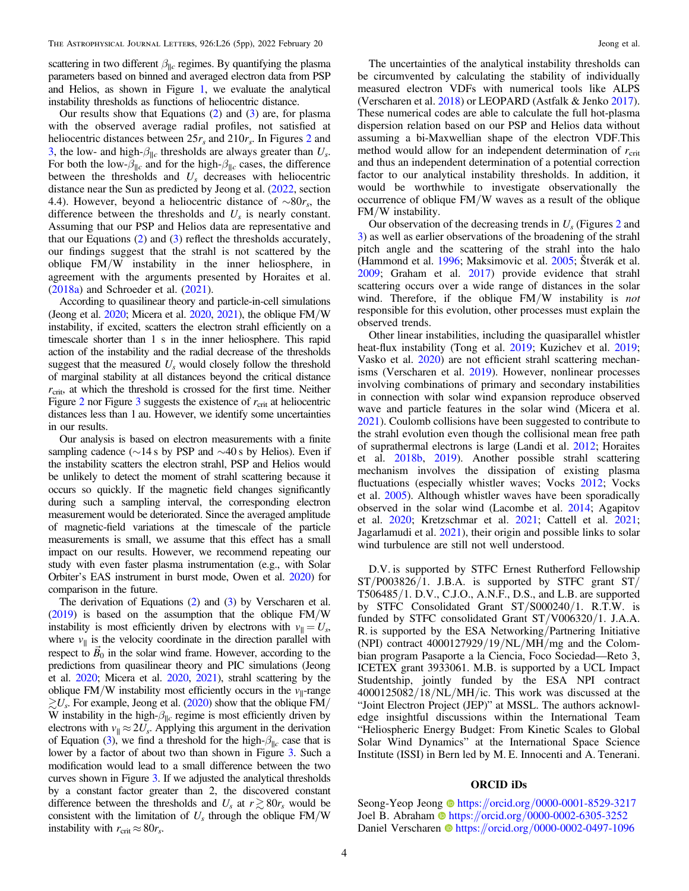scattering in two different  $\beta_{\parallel c}$  regimes. By quantifying the plasma parameters based on binned and averaged electron data from PSP and Helios, as shown in Figure [1](#page-2-0), we evaluate the analytical instability thresholds as functions of heliocentric distance.

Our results show that Equations  $(2)$  $(2)$  $(2)$  and  $(3)$  $(3)$  $(3)$  are, for plasma with the observed average radial profiles, not satisfied at heliocentric distances between  $25r_s$  $25r_s$  and  $210r_s$ . In Figures 2 and [3,](#page-2-0) the low- and high- $\beta_{\parallel c}$  thresholds are always greater than  $U_s$ . For both the low- $\beta_{\parallel c}$  and for the high- $\beta_{\parallel c}$  cases, the difference between the thresholds and  $U_s$  decreases with heliocentric distance near the Sun as predicted by Jeong et al. ([2022](#page-4-0), section 4.4). However, beyond a heliocentric distance of  $\sim 80r_s$ , the difference between the thresholds and  $U_s$  is nearly constant. Assuming that our PSP and Helios data are representative and that our Equations ([2](#page-1-0)) and ([3](#page-1-0)) reflect the thresholds accurately, our findings suggest that the strahl is not scattered by the oblique FM/W instability in the inner heliosphere, in agreement with the arguments presented by Horaites et al. ([2018a](#page-4-0)) and Schroeder et al. ([2021](#page-4-0)).

According to quasilinear theory and particle-in-cell simulations (Jeong et al.  $2020$ ; Micera et al.  $2020$ ,  $2021$ ), the oblique  $FM/W$ instability, if excited, scatters the electron strahl efficiently on a timescale shorter than 1 s in the inner heliosphere. This rapid action of the instability and the radial decrease of the thresholds suggest that the measured  $U_s$  would closely follow the threshold of marginal stability at all distances beyond the critical distance  $r_{\text{crit}}$ , at which the threshold is crossed for the first time. Neither Figure [2](#page-2-0) nor Figure [3](#page-2-0) suggests the existence of  $r_{\text{crit}}$  at heliocentric distances less than 1 au. However, we identify some uncertainties in our results.

Our analysis is based on electron measurements with a finite sampling cadence (∼14 s by PSP and ∼40 s by Helios). Even if the instability scatters the electron strahl, PSP and Helios would be unlikely to detect the moment of strahl scattering because it occurs so quickly. If the magnetic field changes significantly during such a sampling interval, the corresponding electron measurement would be deteriorated. Since the averaged amplitude of magnetic-field variations at the timescale of the particle measurements is small, we assume that this effect has a small impact on our results. However, we recommend repeating our study with even faster plasma instrumentation (e.g., with Solar Orbiter's EAS instrument in burst mode, Owen et al. [2020](#page-4-0)) for comparison in the future.

The derivation of Equations ([2](#page-1-0)) and ([3](#page-1-0)) by Verscharen et al.  $(2019)$  $(2019)$  $(2019)$  is based on the assumption that the oblique FM/W instability is most efficiently driven by electrons with  $v_{\parallel} = U_s$ , where  $v_{\parallel}$  is the velocity coordinate in the direction parallel with where  $v_{\parallel}$  is the velocity coordinate in the direction parallel with respect to  $\vec{B}_0$  in the solar wind frame. However, according to the predictions from quasilinear theory and PIC simulations (Jeong et al. [2020](#page-4-0); Micera et al. [2020,](#page-4-0) [2021](#page-4-0)), strahl scattering by the oblique FM/W instability most efficiently occurs in the  $v_{\parallel}$ -range  $\geq U_s$ . For example, Jeong et al. ([2020](#page-4-0)) show that the oblique FM/ W instability in the high- $\beta_{\parallel c}$  regime is most efficiently driven by electrons with  $v_{\parallel} \approx 2U_s$ . Applying this argument in the derivation of Equation ([3](#page-1-0)), we find a threshold for the high- $\beta_{\parallel c}$  case that is lower by a factor of about two than shown in Figure [3.](#page-2-0) Such a modification would lead to a small difference between the two curves shown in Figure [3](#page-2-0). If we adjusted the analytical thresholds by a constant factor greater than 2, the discovered constant difference between the thresholds and  $U_s$  at  $r \gtrsim 80r_s$  would be consistent with the limitation of  $U_s$  through the oblique  $FM/W$ instability with  $r_{\text{crit}} \approx 80 r_s$ .

The uncertainties of the analytical instability thresholds can be circumvented by calculating the stability of individually measured electron VDFs with numerical tools like ALPS (Verscharen et al. [2018](#page-4-0)) or LEOPARD (Astfalk & Jenko [2017](#page-4-0)). These numerical codes are able to calculate the full hot-plasma dispersion relation based on our PSP and Helios data without assuming a bi-Maxwellian shape of the electron VDF.This method would allow for an independent determination of  $r_{\text{crit}}$ and thus an independent determination of a potential correction factor to our analytical instability thresholds. In addition, it would be worthwhile to investigate observationally the occurrence of oblique FM/W waves as a result of the oblique FM/W instability.

Our observation of the decreasing trends in  $U_s$  (Figures [2](#page-2-0) and [3](#page-2-0)) as well as earlier observations of the broadening of the strahl pitch angle and the scattering of the strahl into the halo (Hammond et al. [1996;](#page-4-0) Maksimovic et al. [2005](#page-4-0); Štverák et al. [2009;](#page-4-0) Graham et al. [2017](#page-4-0)) provide evidence that strahl scattering occurs over a wide range of distances in the solar wind. Therefore, if the oblique FM/W instability is *not* responsible for this evolution, other processes must explain the observed trends.

Other linear instabilities, including the quasiparallel whistler heat-flux instability (Tong et al. [2019](#page-4-0); Kuzichev et al. [2019](#page-4-0); Vasko et al. [2020](#page-4-0)) are not efficient strahl scattering mechanisms (Verscharen et al. [2019](#page-4-0)). However, nonlinear processes involving combinations of primary and secondary instabilities in connection with solar wind expansion reproduce observed wave and particle features in the solar wind (Micera et al. [2021](#page-4-0)). Coulomb collisions have been suggested to contribute to the strahl evolution even though the collisional mean free path of suprathermal electrons is large (Landi et al. [2012;](#page-4-0) Horaites et al. [2018b,](#page-4-0) [2019](#page-4-0)). Another possible strahl scattering mechanism involves the dissipation of existing plasma fluctuations (especially whistler waves; Vocks [2012;](#page-4-0) Vocks et al. [2005](#page-4-0)). Although whistler waves have been sporadically observed in the solar wind (Lacombe et al. [2014;](#page-4-0) Agapitov et al. [2020;](#page-4-0) Kretzschmar et al. [2021](#page-4-0); Cattell et al. [2021](#page-4-0); Jagarlamudi et al. [2021](#page-4-0)), their origin and possible links to solar wind turbulence are still not well understood.

D.V. is supported by STFC Ernest Rutherford Fellowship  $ST/P003826/1$ . J.B.A. is supported by STFC grant  $ST/P$ T506485/1. D.V., C.J.O., A.N.F., D.S., and L.B. are supported by STFC Consolidated Grant ST/S000240/1. R.T.W. is funded by STFC consolidated Grant ST/V006320/1. J.A.A. R. is supported by the ESA Networking/Partnering Initiative (NPI) contract  $4000127929/19/NL/MH/mg$  and the Colombian program Pasaporte a la Ciencia, Foco Sociedad—Reto 3, ICETEX grant 3933061. M.B. is supported by a UCL Impact Studentship, jointly funded by the ESA NPI contract 4000125082/18/NL/MH/ic. This work was discussed at the "Joint Electron Project (JEP)" at MSSL. The authors acknowledge insightful discussions within the International Team "Heliospheric Energy Budget: From Kinetic Scales to Global Solar Wind Dynamics" at the International Space Science Institute (ISSI) in Bern led by M. E. Innocenti and A. Tenerani.

# ORCID iDs

Seong-Yeop Jeong @[https:](https://orcid.org/0000-0001-8529-3217)//orcid.org/[0000-0001-8529-3217](https://orcid.org/0000-0001-8529-3217) Joel B. Abraha[m](https://orcid.org/0000-0002-6305-3252) thtps://orcid.org/[0000-0002-6305-3252](https://orcid.org/0000-0002-6305-3252) Da[n](https://orcid.org/0000-0002-0497-1096)iel Verscharen t[https:](https://orcid.org/0000-0002-0497-1096)//orcid.org/[0000-0002-0497-1096](https://orcid.org/0000-0002-0497-1096)